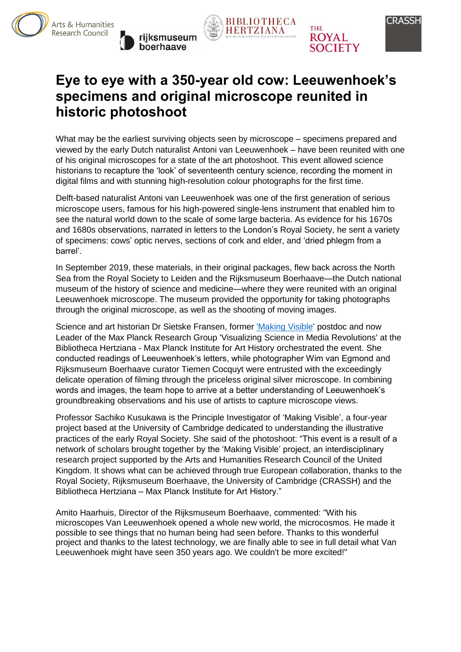









# **Eye to eye with a 350-year old cow: Leeuwenhoek's specimens and original microscope reunited in historic photoshoot**

What may be the earliest surviving objects seen by microscope – specimens prepared and viewed by the early Dutch naturalist Antoni van Leeuwenhoek – have been reunited with one of his original microscopes for a state of the art photoshoot. This event allowed science historians to recapture the 'look' of seventeenth century science, recording the moment in digital films and with stunning high-resolution colour photographs for the first time.

Delft-based naturalist Antoni van Leeuwenhoek was one of the first generation of serious microscope users, famous for his high-powered single-lens instrument that enabled him to see the natural world down to the scale of some large bacteria. As evidence for his 1670s and 1680s observations, narrated in letters to the London's Royal Society, he sent a variety of specimens: cows' optic nerves, sections of cork and elder, and 'dried phlegm from a barrel'.

In September 2019, these materials, in their original packages, flew back across the North Sea from the Royal Society to Leiden and the Rijksmuseum Boerhaave—the Dutch national museum of the history of science and medicine—where they were reunited with an original Leeuwenhoek microscope. The museum provided the opportunity for taking photographs through the original microscope, as well as the shooting of moving images.

Science and art historian Dr Sietske Fransen, former ['Making Visible'](http://www.crassh.cam.ac.uk/programmes/making-visible-the-visual-and-graphic-practices-of-the-early-royal-society) postdoc and now Leader of the Max Planck Research Group 'Visualizing Science in Media Revolutions' at the Bibliotheca Hertziana - Max Planck Institute for Art History orchestrated the event. She conducted readings of Leeuwenhoek's letters, while photographer Wim van Egmond and Rijksmuseum Boerhaave curator Tiemen Cocquyt were entrusted with the exceedingly delicate operation of filming through the priceless original silver microscope. In combining words and images, the team hope to arrive at a better understanding of Leeuwenhoek's groundbreaking observations and his use of artists to capture microscope views.

Professor Sachiko Kusukawa is the Principle Investigator of 'Making Visible', a four-year project based at the University of Cambridge dedicated to understanding the illustrative practices of the early Royal Society. She said of the photoshoot: "This event is a result of a network of scholars brought together by the 'Making Visible' project, an interdisciplinary research project supported by the Arts and Humanities Research Council of the United Kingdom. It shows what can be achieved through true European collaboration, thanks to the Royal Society, Rijksmuseum Boerhaave, the University of Cambridge (CRASSH) and the Bibliotheca Hertziana – Max Planck Institute for Art History."

Amito Haarhuis, Director of the Rijksmuseum Boerhaave, commented: "With his microscopes Van Leeuwenhoek opened a whole new world, the microcosmos. He made it possible to see things that no human being had seen before. Thanks to this wonderful project and thanks to the latest technology, we are finally able to see in full detail what Van Leeuwenhoek might have seen 350 years ago. We couldn't be more excited!"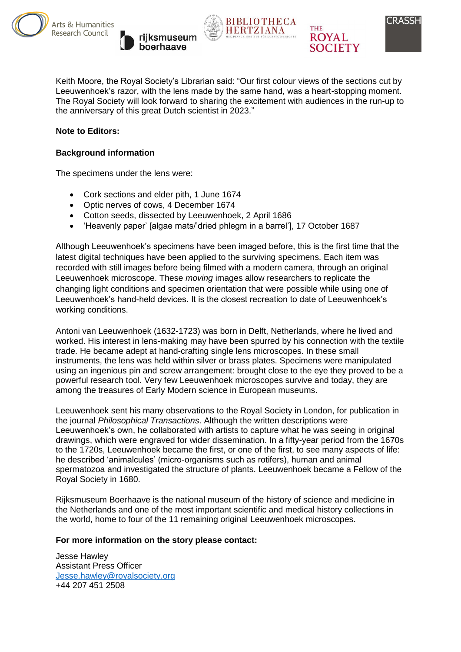









Keith Moore, the Royal Society's Librarian said: "Our first colour views of the sections cut by Leeuwenhoek's razor, with the lens made by the same hand, was a heart-stopping moment. The Royal Society will look forward to sharing the excitement with audiences in the run-up to the anniversary of this great Dutch scientist in 2023."

#### **Note to Editors:**

#### **Background information**

The specimens under the lens were:

- Cork sections and elder pith, 1 June 1674
- Optic nerves of cows, 4 December 1674
- Cotton seeds, dissected by Leeuwenhoek, 2 April 1686
- 'Heavenly paper' [algae mats/'dried phlegm in a barrel'], 17 October 1687

Although Leeuwenhoek's specimens have been imaged before, this is the first time that the latest digital techniques have been applied to the surviving specimens. Each item was recorded with still images before being filmed with a modern camera, through an original Leeuwenhoek microscope. These *moving* images allow researchers to replicate the changing light conditions and specimen orientation that were possible while using one of Leeuwenhoek's hand-held devices. It is the closest recreation to date of Leeuwenhoek's working conditions.

Antoni van Leeuwenhoek (1632-1723) was born in Delft, Netherlands, where he lived and worked. His interest in lens-making may have been spurred by his connection with the textile trade. He became adept at hand-crafting single lens microscopes. In these small instruments, the lens was held within silver or brass plates. Specimens were manipulated using an ingenious pin and screw arrangement: brought close to the eye they proved to be a powerful research tool. Very few Leeuwenhoek microscopes survive and today, they are among the treasures of Early Modern science in European museums.

Leeuwenhoek sent his many observations to the Royal Society in London, for publication in the journal *Philosophical Transactions*. Although the written descriptions were Leeuwenhoek's own, he collaborated with artists to capture what he was seeing in original drawings, which were engraved for wider dissemination. In a fifty-year period from the 1670s to the 1720s, Leeuwenhoek became the first, or one of the first, to see many aspects of life: he described 'animalcules' (micro-organisms such as rotifers), human and animal spermatozoa and investigated the structure of plants. Leeuwenhoek became a Fellow of the Royal Society in 1680.

Rijksmuseum Boerhaave is the national museum of the history of science and medicine in the Netherlands and one of the most important scientific and medical history collections in the world, home to four of the 11 remaining original Leeuwenhoek microscopes.

#### **For more information on the story please contact:**

Jesse Hawley Assistant Press Officer [Jesse.hawley@royalsociety.org](mailto:Jesse.hawley@royalsociety.org) +44 207 451 2508